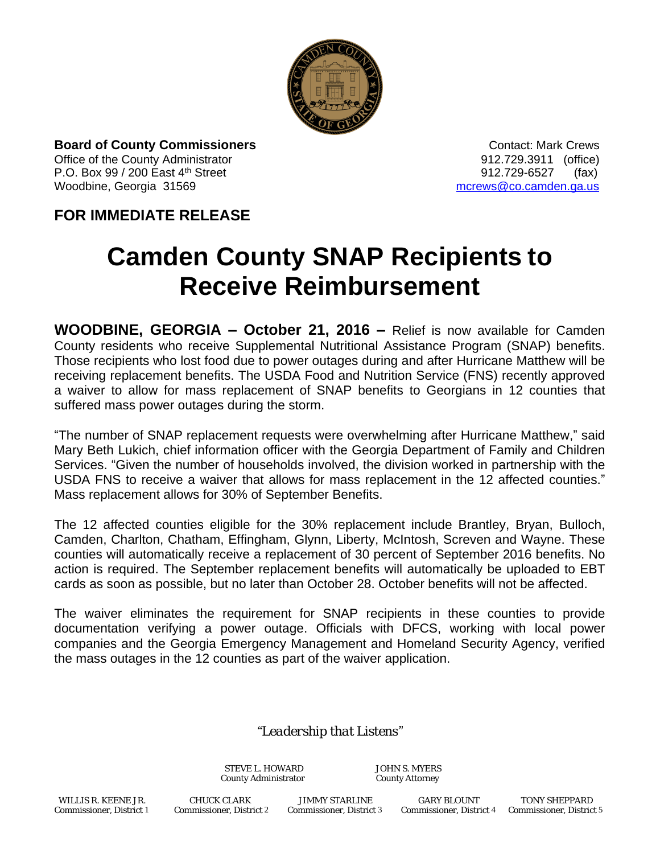

**Board of County Commissioners Contact: Mark Crews Contact: Mark Crews** Office of the County Administrator 912.729.3911 (office) P.O. Box 99 / 200 East 4<sup>th</sup> Street 912.729-6527 (fax) Woodbine, Georgia 31569 more was also as a more was more was a more was a more was a more was a more was a more was a more was a more was a more was a more was a more was a more was a more was a more was a more was a more

## **FOR IMMEDIATE RELEASE**

## **Camden County SNAP Recipients to Receive Reimbursement**

**WOODBINE, GEORGIA – October 21, 2016 –** Relief is now available for Camden County residents who receive Supplemental Nutritional Assistance Program (SNAP) benefits. Those recipients who lost food due to power outages during and after Hurricane Matthew will be receiving replacement benefits. The USDA Food and Nutrition Service (FNS) recently approved a waiver to allow for mass replacement of SNAP benefits to Georgians in 12 counties that suffered mass power outages during the storm.

"The number of SNAP replacement requests were overwhelming after Hurricane Matthew," said Mary Beth Lukich, chief information officer with the Georgia Department of Family and Children Services. "Given the number of households involved, the division worked in partnership with the USDA FNS to receive a waiver that allows for mass replacement in the 12 affected counties." Mass replacement allows for 30% of September Benefits.

The 12 affected counties eligible for the 30% replacement include Brantley, Bryan, Bulloch, Camden, Charlton, Chatham, Effingham, Glynn, Liberty, McIntosh, Screven and Wayne. These counties will automatically receive a replacement of 30 percent of September 2016 benefits. No action is required. The September replacement benefits will automatically be uploaded to EBT cards as soon as possible, but no later than October 28. October benefits will not be affected.

The waiver eliminates the requirement for SNAP recipients in these counties to provide documentation verifying a power outage. Officials with DFCS, working with local power companies and the Georgia Emergency Management and Homeland Security Agency, verified the mass outages in the 12 counties as part of the waiver application.

## *"Leadership that Listens"*

STEVE L. HOWARD JOHN S. MYERS<br>
Sounty Administrator County Attorney County Administrator

 WILLIS R. KEENE JR. CHUCK CLARK JIMMY STARLINE GARY BLOUNT TONY SHEPPARD Commissioner, District 1 Commissioner, District 2 Commissioner, District 3 Commissioner, District 4 Commissioner, District 5